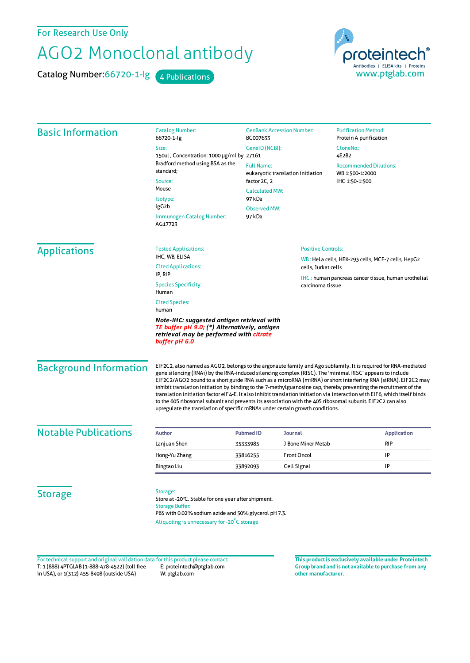For Research Use Only

## AGO2 Monoclonal antibody

Catalog Number: 66720-1-lg 4 Publications

proteintech Antibodies | ELISA kits | Proteins<br>WWW.ptglab.com

| <b>Basic Information</b>    | <b>Catalog Number:</b><br>66720-1-lg                                                                                                                                                             | <b>GenBank Accession Number:</b><br>BC007633<br>GeneID (NCBI): |                           | <b>Purification Method:</b><br>Protein A purification       |                               |
|-----------------------------|--------------------------------------------------------------------------------------------------------------------------------------------------------------------------------------------------|----------------------------------------------------------------|---------------------------|-------------------------------------------------------------|-------------------------------|
|                             | Size:                                                                                                                                                                                            |                                                                |                           | CloneNo.:<br>4E2B2                                          |                               |
|                             | 150ul, Concentration: 1000 µg/ml by 27161<br>Bradford method using BSA as the<br>standard;<br>Source:                                                                                            |                                                                |                           |                                                             |                               |
|                             |                                                                                                                                                                                                  | <b>Full Name:</b><br>eukaryotic translation initiation         |                           | <b>Recommended Dilutions:</b><br>WB 1:500-1:2000            |                               |
|                             |                                                                                                                                                                                                  | factor 2C, 2                                                   |                           | IHC 1:50-1:500                                              |                               |
|                             | Mouse                                                                                                                                                                                            | <b>Calculated MW:</b>                                          |                           |                                                             |                               |
|                             | Isotype:                                                                                                                                                                                         | 97 kDa<br><b>Observed MW:</b><br>97 kDa                        |                           |                                                             |                               |
|                             | lgG <sub>2</sub> b                                                                                                                                                                               |                                                                |                           |                                                             |                               |
|                             | Immunogen Catalog Number:<br>AG17723                                                                                                                                                             |                                                                |                           |                                                             |                               |
| <b>Applications</b>         | <b>Tested Applications:</b>                                                                                                                                                                      |                                                                | <b>Positive Controls:</b> |                                                             |                               |
|                             | IHC, WB, ELISA                                                                                                                                                                                   | WB: HeLa cells, HEK-293 cells, MCF-7 cells, HepG2              |                           |                                                             |                               |
|                             | <b>Cited Applications:</b><br>IP, RIP                                                                                                                                                            |                                                                | cells, Jurkat cells       |                                                             |                               |
|                             | <b>Species Specificity:</b><br>Human                                                                                                                                                             |                                                                | carcinoma tissue          | <b>IHC</b> : human pancreas cancer tissue, human urothelial |                               |
|                             | <b>Cited Species:</b><br>human<br>Note-IHC: suggested antigen retrieval with<br>TE buffer pH 9.0; (*) Alternatively, antigen<br>retrieval may be performed with citrate<br>buffer pH 6.0         |                                                                |                           |                                                             |                               |
|                             |                                                                                                                                                                                                  |                                                                |                           |                                                             | <b>Background Information</b> |
| <b>Notable Publications</b> | <b>Author</b>                                                                                                                                                                                    | <b>Pubmed ID</b>                                               | <b>Journal</b>            | <b>Application</b>                                          |                               |
|                             | Lanjuan Shen                                                                                                                                                                                     | 35333985                                                       | J Bone Miner Metab        | <b>RIP</b>                                                  |                               |
|                             | Hong-Yu Zhang                                                                                                                                                                                    | 33816255                                                       | <b>Front Oncol</b>        | IP                                                          |                               |
|                             | Bingtao Liu                                                                                                                                                                                      | 33892093                                                       | Cell Signal               | IP                                                          |                               |
| <b>Storage</b>              | Storage:<br>Store at -20°C. Stable for one year after shipment.<br><b>Storage Buffer:</b><br>PBS with 0.02% sodium azide and 50% glycerol pH 7.3.<br>Aliquoting is unnecessary for -20°C storage |                                                                |                           |                                                             |                               |

T: 1 (888) 4PTGLAB (1-888-478-4522) (toll free in USA), or 1(312) 455-8498 (outside USA) E: proteintech@ptglab.com W: ptglab.com Fortechnical support and original validation data forthis product please contact: **This productis exclusively available under Proteintech**

**Group brand and is not available to purchase from any other manufacturer.**